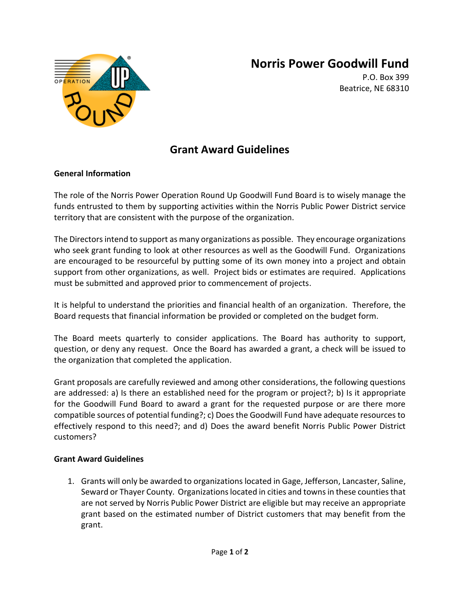

## **Norris Power Goodwill Fund**

P.O. Box 399 Beatrice, NE 68310

### **Grant Award Guidelines**

#### **General Information**

The role of the Norris Power Operation Round Up Goodwill Fund Board is to wisely manage the funds entrusted to them by supporting activities within the Norris Public Power District service territory that are consistent with the purpose of the organization.

The Directors intend to support as many organizations as possible. They encourage organizations who seek grant funding to look at other resources as well as the Goodwill Fund. Organizations are encouraged to be resourceful by putting some of its own money into a project and obtain support from other organizations, as well. Project bids or estimates are required. Applications must be submitted and approved prior to commencement of projects.

It is helpful to understand the priorities and financial health of an organization. Therefore, the Board requests that financial information be provided or completed on the budget form.

The Board meets quarterly to consider applications. The Board has authority to support, question, or deny any request. Once the Board has awarded a grant, a check will be issued to the organization that completed the application.

Grant proposals are carefully reviewed and among other considerations, the following questions are addressed: a) Is there an established need for the program or project?; b) Is it appropriate for the Goodwill Fund Board to award a grant for the requested purpose or are there more compatible sources of potential funding?; c) Does the Goodwill Fund have adequate resources to effectively respond to this need?; and d) Does the award benefit Norris Public Power District customers?

#### **Grant Award Guidelines**

1. Grants will only be awarded to organizations located in Gage, Jefferson, Lancaster, Saline, Seward or Thayer County. Organizations located in cities and towns in these counties that are not served by Norris Public Power District are eligible but may receive an appropriate grant based on the estimated number of District customers that may benefit from the grant.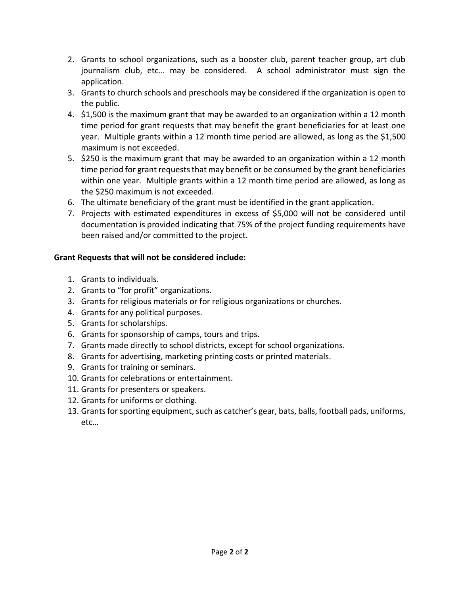- 2. Grants to school organizations, such as a booster club, parent teacher group, art club journalism club, etc… may be considered. A school administrator must sign the application.
- 3. Grants to church schools and preschools may be considered if the organization is open to the public.
- 4. \$1,500 is the maximum grant that may be awarded to an organization within a 12 month time period for grant requests that may benefit the grant beneficiaries for at least one year. Multiple grants within a 12 month time period are allowed, as long as the \$1,500 maximum is not exceeded.
- 5. \$250 is the maximum grant that may be awarded to an organization within a 12 month time period for grant requests that may benefit or be consumed by the grant beneficiaries within one year. Multiple grants within a 12 month time period are allowed, as long as the \$250 maximum is not exceeded.
- 6. The ultimate beneficiary of the grant must be identified in the grant application.
- 7. Projects with estimated expenditures in excess of \$5,000 will not be considered until documentation is provided indicating that 75% of the project funding requirements have been raised and/or committed to the project.

### **Grant Requests that will not be considered include:**

- 1. Grants to individuals.
- 2. Grants to "for profit" organizations.
- 3. Grants for religious materials or for religious organizations or churches.
- 4. Grants for any political purposes.
- 5. Grants for scholarships.
- 6. Grants for sponsorship of camps, tours and trips.
- 7. Grants made directly to school districts, except for school organizations.
- 8. Grants for advertising, marketing printing costs or printed materials.
- 9. Grants for training or seminars.
- 10. Grants for celebrations or entertainment.
- 11. Grants for presenters or speakers.
- 12. Grants for uniforms or clothing.
- 13. Grants for sporting equipment, such as catcher's gear, bats, balls, football pads, uniforms, etc…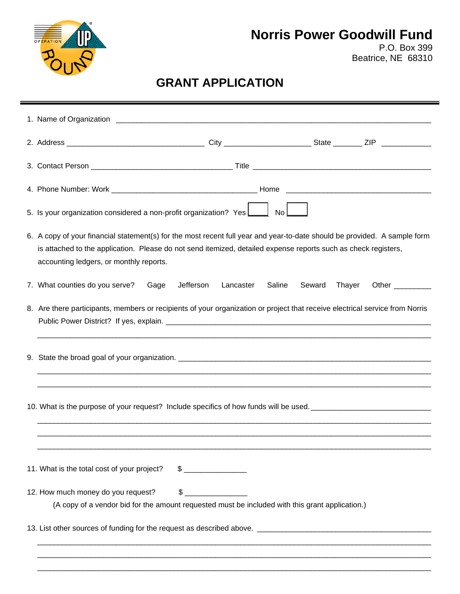

## **Norris Power Goodwill Fund**

P.O. Box 399 Beatrice, NE 68310

# **GRANT APPLICATION**

|  | 5. Is your organization considered a non-profit organization? Yes <u>Lickenden No</u>                                                                                                                                                                                                  |  |  |  |  |  |  |  |
|--|----------------------------------------------------------------------------------------------------------------------------------------------------------------------------------------------------------------------------------------------------------------------------------------|--|--|--|--|--|--|--|
|  | 6. A copy of your financial statement(s) for the most recent full year and year-to-date should be provided. A sample form<br>is attached to the application. Please do not send itemized, detailed expense reports such as check registers,<br>accounting ledgers, or monthly reports. |  |  |  |  |  |  |  |
|  | 7. What counties do you serve?<br>Gage<br>Jefferson<br>Lancaster<br>Saline<br>Seward<br>Other $\_\_\_\_\_\_\_\$<br>Thayer                                                                                                                                                              |  |  |  |  |  |  |  |
|  | 8. Are there participants, members or recipients of your organization or project that receive electrical service from Norris                                                                                                                                                           |  |  |  |  |  |  |  |
|  |                                                                                                                                                                                                                                                                                        |  |  |  |  |  |  |  |
|  | 10. What is the purpose of your request? Include specifics of how funds will be used. ________________________                                                                                                                                                                         |  |  |  |  |  |  |  |
|  | 11. What is the total cost of your project?<br>$\qquad \qquad \$$                                                                                                                                                                                                                      |  |  |  |  |  |  |  |
|  | 12. How much money do you request?<br>$\frac{1}{2}$<br>(A copy of a vendor bid for the amount requested must be included with this grant application.)                                                                                                                                 |  |  |  |  |  |  |  |
|  |                                                                                                                                                                                                                                                                                        |  |  |  |  |  |  |  |
|  |                                                                                                                                                                                                                                                                                        |  |  |  |  |  |  |  |

\_\_\_\_\_\_\_\_\_\_\_\_\_\_\_\_\_\_\_\_\_\_\_\_\_\_\_\_\_\_\_\_\_\_\_\_\_\_\_\_\_\_\_\_\_\_\_\_\_\_\_\_\_\_\_\_\_\_\_\_\_\_\_\_\_\_\_\_\_\_\_\_\_\_\_\_\_\_\_\_\_\_\_\_\_\_\_\_\_\_\_\_\_\_\_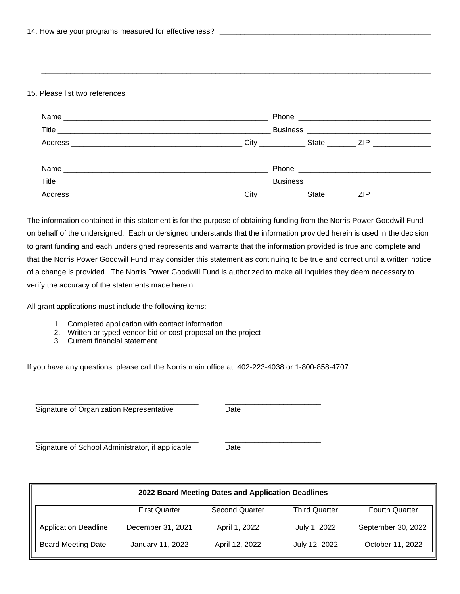#### 15. Please list two references:

| Name    |                  |                                 |  |
|---------|------------------|---------------------------------|--|
|         |                  |                                 |  |
|         |                  | State _______ ZIP _____________ |  |
|         |                  |                                 |  |
|         |                  |                                 |  |
|         |                  |                                 |  |
| Address | <b>City City</b> | State ZIP                       |  |

 $\mathcal{L} = \{ \mathcal{L} = \{ \mathcal{L} = \{ \mathcal{L} = \mathcal{L} \} \}$  $\overline{\phantom{a}}$  ,  $\overline{\phantom{a}}$  ,  $\overline{\phantom{a}}$  ,  $\overline{\phantom{a}}$  ,  $\overline{\phantom{a}}$  ,  $\overline{\phantom{a}}$  ,  $\overline{\phantom{a}}$  ,  $\overline{\phantom{a}}$  ,  $\overline{\phantom{a}}$  ,  $\overline{\phantom{a}}$  ,  $\overline{\phantom{a}}$  ,  $\overline{\phantom{a}}$  ,  $\overline{\phantom{a}}$  ,  $\overline{\phantom{a}}$  ,  $\overline{\phantom{a}}$  ,  $\overline{\phantom{a}}$  $\overline{\phantom{a}}$  ,  $\overline{\phantom{a}}$  ,  $\overline{\phantom{a}}$  ,  $\overline{\phantom{a}}$  ,  $\overline{\phantom{a}}$  ,  $\overline{\phantom{a}}$  ,  $\overline{\phantom{a}}$  ,  $\overline{\phantom{a}}$  ,  $\overline{\phantom{a}}$  ,  $\overline{\phantom{a}}$  ,  $\overline{\phantom{a}}$  ,  $\overline{\phantom{a}}$  ,  $\overline{\phantom{a}}$  ,  $\overline{\phantom{a}}$  ,  $\overline{\phantom{a}}$  ,  $\overline{\phantom{a}}$ 

The information contained in this statement is for the purpose of obtaining funding from the Norris Power Goodwill Fund on behalf of the undersigned. Each undersigned understands that the information provided herein is used in the decision to grant funding and each undersigned represents and warrants that the information provided is true and complete and that the Norris Power Goodwill Fund may consider this statement as continuing to be true and correct until a written notice of a change is provided. The Norris Power Goodwill Fund is authorized to make all inquiries they deem necessary to verify the accuracy of the statements made herein.

All grant applications must include the following items:

- 1. Completed application with contact information
- 2. Written or typed vendor bid or cost proposal on the project
- 3. Current financial statement

If you have any questions, please call the Norris main office at 402-223-4038 or 1-800-858-4707.

\_\_\_\_\_\_\_\_\_\_\_\_\_\_\_\_\_\_\_\_\_\_\_\_\_\_\_\_\_\_\_\_\_\_\_\_\_\_\_ \_\_\_\_\_\_\_\_\_\_\_\_\_\_\_\_\_\_\_\_\_\_\_

\_\_\_\_\_\_\_\_\_\_\_\_\_\_\_\_\_\_\_\_\_\_\_\_\_\_\_\_\_\_\_\_\_\_\_\_\_\_\_ \_\_\_\_\_\_\_\_\_\_\_\_\_\_\_\_\_\_\_\_\_\_\_ Signature of Organization Representative Date

Signature of School Administrator, if applicable Date

| 2022 Board Meeting Dates and Application Deadlines |                      |                       |                      |                       |  |  |  |  |
|----------------------------------------------------|----------------------|-----------------------|----------------------|-----------------------|--|--|--|--|
|                                                    | <b>First Quarter</b> | <b>Second Quarter</b> | <b>Third Quarter</b> | <b>Fourth Quarter</b> |  |  |  |  |
| <b>Application Deadline</b>                        | December 31, 2021    | April 1, 2022         | July 1, 2022         | September 30, 2022    |  |  |  |  |
| <b>Board Meeting Date</b>                          | January 11, 2022     | April 12, 2022        | July 12, 2022        | October 11, 2022      |  |  |  |  |